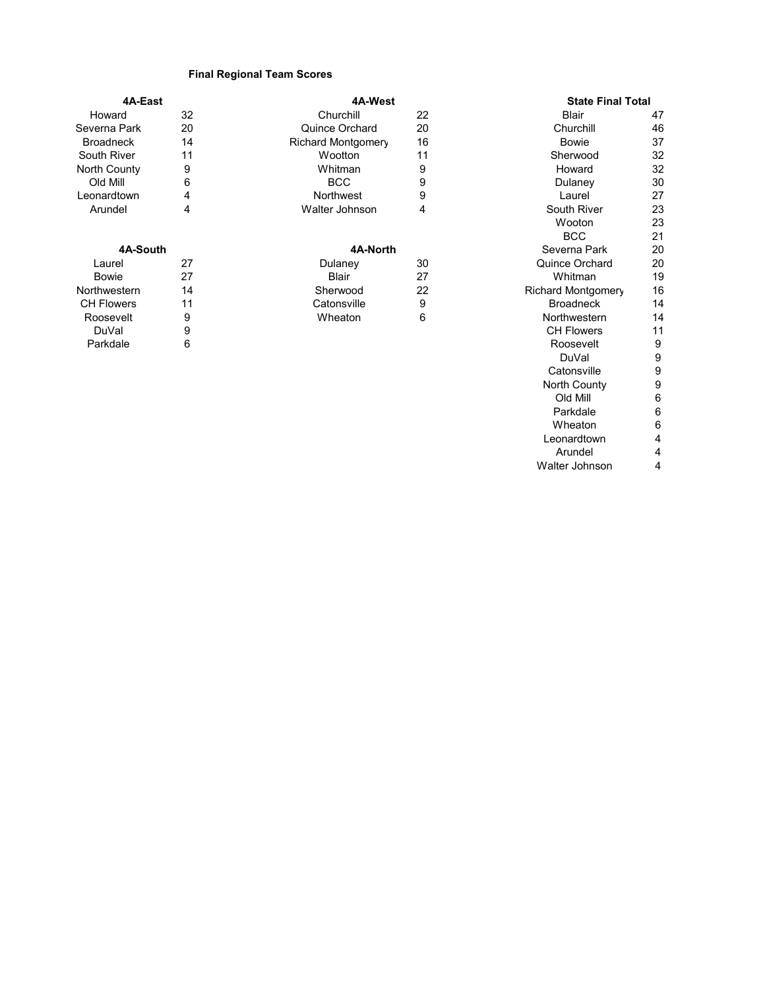## **Final Regional Team Scores**

| 4A-East           |    | 4A-West                   |    | <b>State Final Total</b> |    |
|-------------------|----|---------------------------|----|--------------------------|----|
| Howard            | 32 | Churchill                 | 22 | Blair                    | 47 |
| Severna Park      | 20 | <b>Quince Orchard</b>     | 20 | Churchill                | 46 |
| <b>Broadneck</b>  | 14 | <b>Richard Montgomery</b> | 16 | <b>Bowie</b>             | 37 |
| South River       | 11 | Wootton                   | 11 | Sherwood                 | 32 |
| North County      | 9  | Whitman                   | 9  | Howard                   | 32 |
| Old Mill          | 6  | <b>BCC</b>                | 9  | Dulaney                  | 30 |
| Leonardtown       | 4  | <b>Northwest</b>          | 9  | Laurel                   | 27 |
| Arundel           | 4  | Walter Johnson            | 4  | South River              | 23 |
|                   |    |                           |    | Wooton                   | 23 |
|                   |    |                           |    | <b>BCC</b>               | 21 |
| 4A-South          |    | 4A-North                  |    | Severna Park             | 20 |
| Laurel            | 27 | Dulaney                   | 30 | Quince Orchard           | 20 |
| <b>Bowie</b>      | 27 | <b>Blair</b>              | 27 | Whitman                  | 19 |
| Northwestern      | 14 | Sherwood                  | 22 | Richard Montgomery       | 16 |
| <b>CH Flowers</b> | 11 | Catonsville               | 9  | <b>Broadneck</b>         | 14 |
| Roosevelt         | 9  | Wheaton                   | 6  | Northwestern             | 14 |
| DuVal             | 9  |                           |    | <b>CH Flowers</b>        | 11 |
| Parkdale          | 6  |                           |    | Roosevelt                | 9  |
|                   |    |                           |    | DuVal                    | 9  |

Catonsville 9<br>North County 9 North County<br>
Old Mill<br>
6

Parkdale 6<br>Wheaton 6

Leonardtown 4<br>Arundel 4 Arundel 4<br>Iter Johnson 4

Old Mill 6

Wheaton

Walter Johnson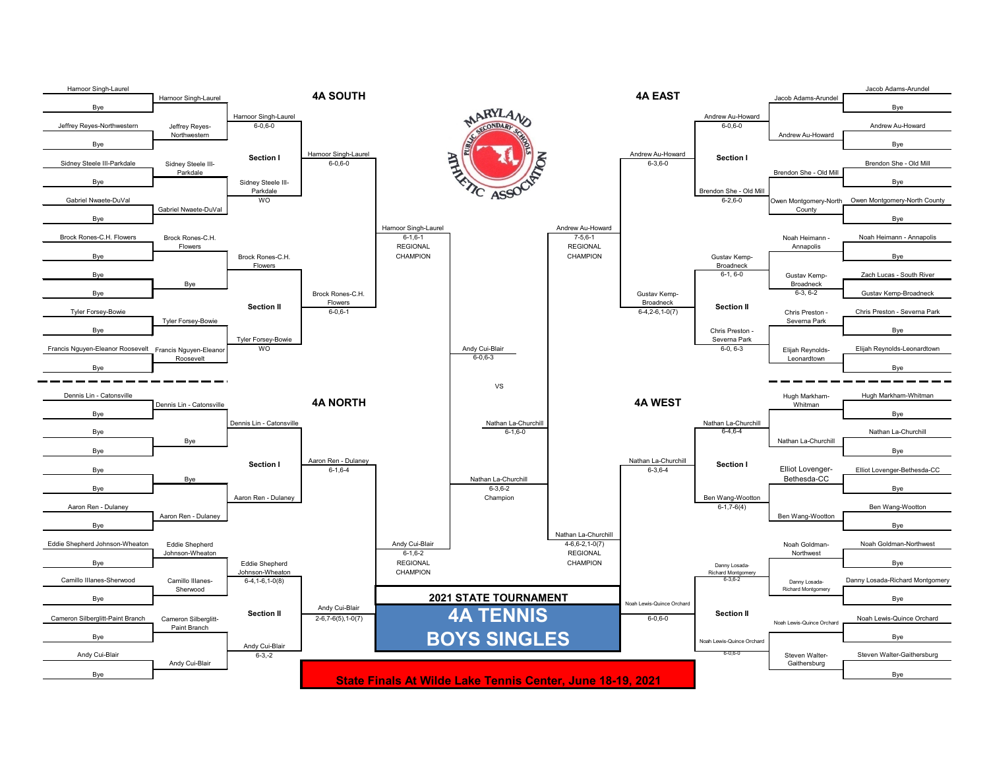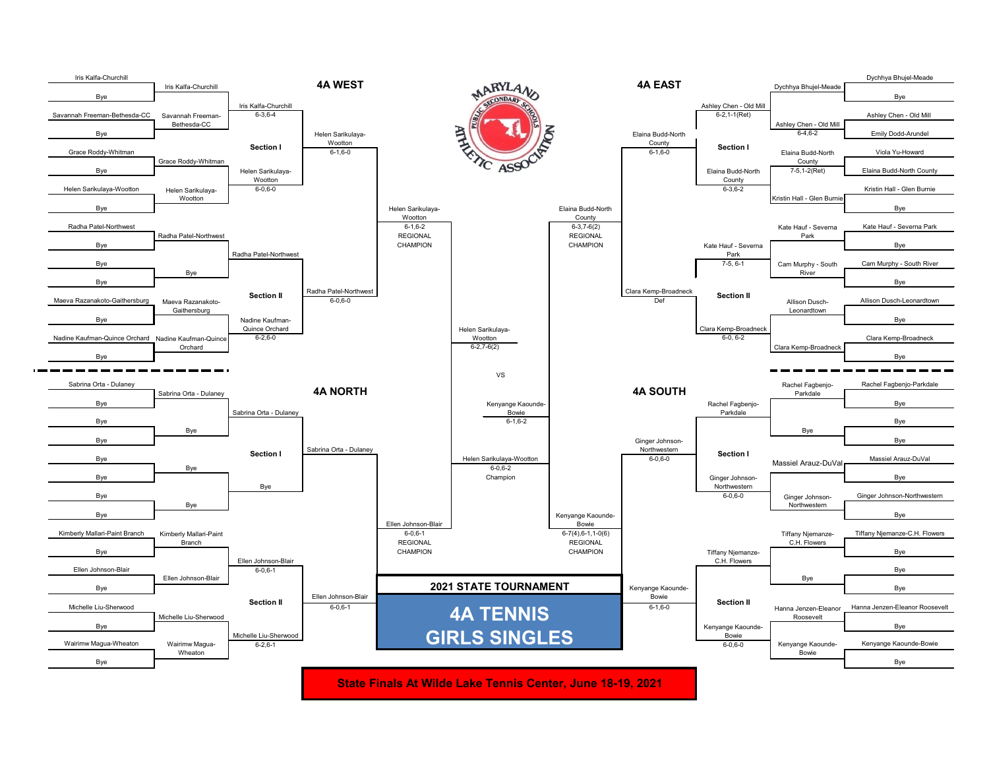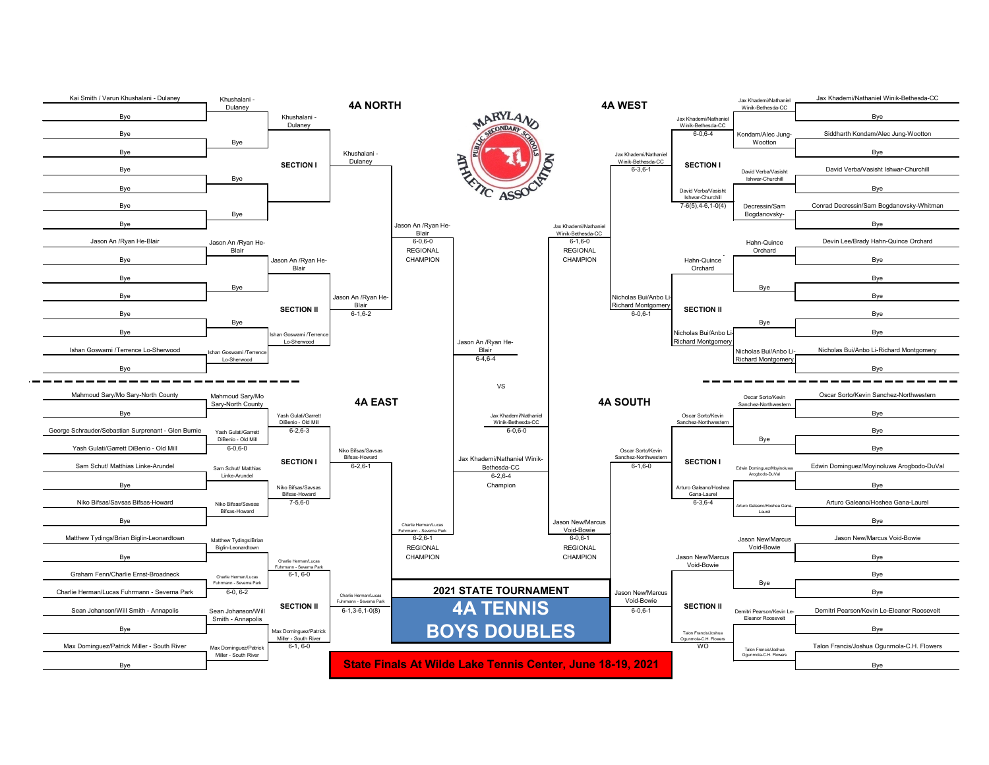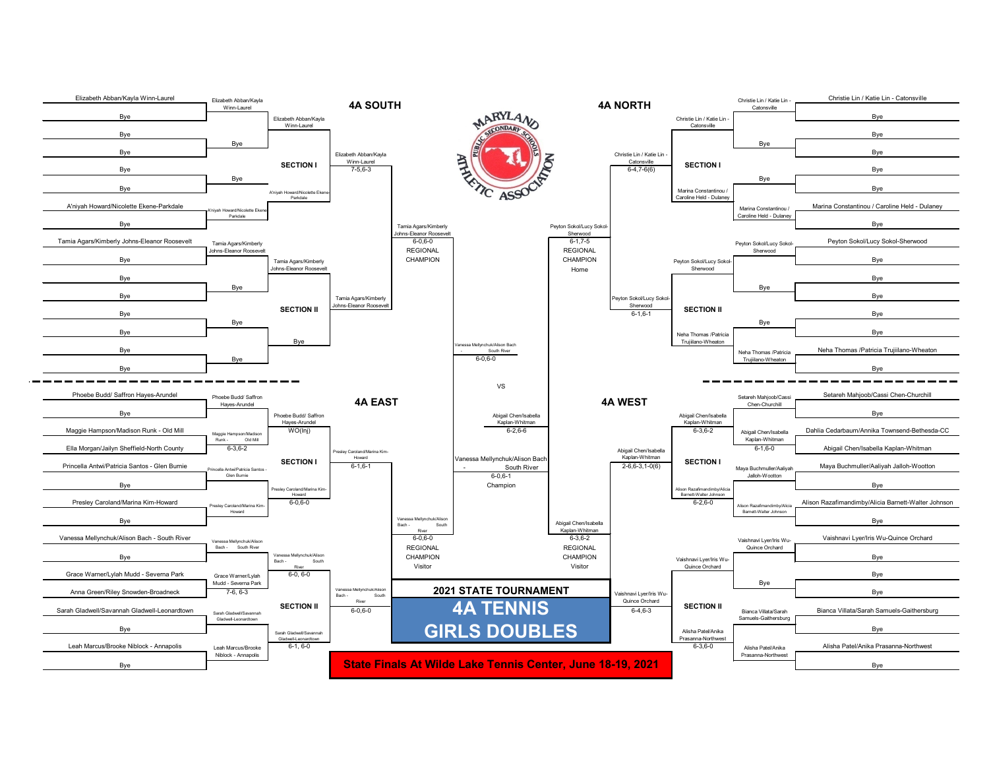